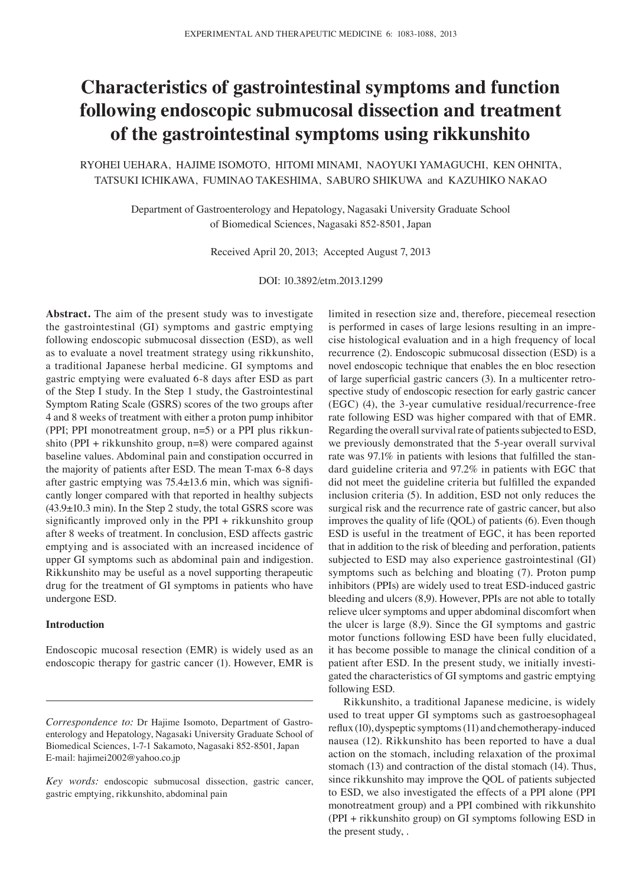# **Characteristics of gastrointestinal symptoms and function following endoscopic submucosal dissection and treatment of the gastrointestinal symptoms using rikkunshito**

RYOHEI UEHARA, HAJIME ISOMOTO, HITOMI MINAMI, NAOYUKI YAMAGUCHI, KEN OHNITA, TATSUKI ICHIKAWA, FUMINAO TAKESHIMA, SABURO SHIKUWA and KAZUHIKO NAKAO

> Department of Gastroenterology and Hepatology, Nagasaki University Graduate School of Biomedical Sciences, Nagasaki 852-8501, Japan

> > Received April 20, 2013; Accepted August 7, 2013

DOI: 10.3892/etm.2013.1299

**Abstract.** The aim of the present study was to investigate the gastrointestinal (GI) symptoms and gastric emptying following endoscopic submucosal dissection (ESD), as well as to evaluate a novel treatment strategy using rikkunshito, a traditional Japanese herbal medicine. GI symptoms and gastric emptying were evaluated 6-8 days after ESD as part of the Step I study. In the Step 1 study, the Gastrointestinal Symptom Rating Scale (GSRS) scores of the two groups after 4 and 8 weeks of treatment with either a proton pump inhibitor (PPI; PPI monotreatment group, n=5) or a PPI plus rikkunshito (PPI + rikkunshito group, n=8) were compared against baseline values. Abdominal pain and constipation occurred in the majority of patients after ESD. The mean T-max 6-8 days after gastric emptying was 75.4±13.6 min, which was significantly longer compared with that reported in healthy subjects (43.9±10.3 min). In the Step 2 study, the total GSRS score was significantly improved only in the PPI + rikkunshito group after 8 weeks of treatment. In conclusion, ESD affects gastric emptying and is associated with an increased incidence of upper GI symptoms such as abdominal pain and indigestion. Rikkunshito may be useful as a novel supporting therapeutic drug for the treatment of GI symptoms in patients who have undergone ESD.

## **Introduction**

Endoscopic mucosal resection (EMR) is widely used as an endoscopic therapy for gastric cancer (1). However, EMR is limited in resection size and, therefore, piecemeal resection is performed in cases of large lesions resulting in an imprecise histological evaluation and in a high frequency of local recurrence (2). Endoscopic submucosal dissection (ESD) is a novel endoscopic technique that enables the en bloc resection of large superficial gastric cancers (3). In a multicenter retrospective study of endoscopic resection for early gastric cancer (EGC) (4), the 3-year cumulative residual/recurrence-free rate following ESD was higher compared with that of EMR. Regarding the overall survival rate of patients subjected to ESD, we previously demonstrated that the 5-year overall survival rate was 97.1% in patients with lesions that fulfilled the standard guideline criteria and 97.2% in patients with EGC that did not meet the guideline criteria but fulfilled the expanded inclusion criteria (5). In addition, ESD not only reduces the surgical risk and the recurrence rate of gastric cancer, but also improves the quality of life (QOL) of patients (6). Even though ESD is useful in the treatment of EGC, it has been reported that in addition to the risk of bleeding and perforation, patients subjected to ESD may also experience gastrointestinal (GI) symptoms such as belching and bloating (7). Proton pump inhibitors (PPIs) are widely used to treat ESD-induced gastric bleeding and ulcers (8,9). However, PPIs are not able to totally relieve ulcer symptoms and upper abdominal discomfort when the ulcer is large (8,9). Since the GI symptoms and gastric motor functions following ESD have been fully elucidated, it has become possible to manage the clinical condition of a patient after ESD. In the present study, we initially investigated the characteristics of GI symptoms and gastric emptying following ESD.

Rikkunshito, a traditional Japanese medicine, is widely used to treat upper GI symptoms such as gastroesophageal reflux (10), dyspeptic symptoms (11) and chemotherapy-induced nausea (12). Rikkunshito has been reported to have a dual action on the stomach, including relaxation of the proximal stomach (13) and contraction of the distal stomach (14). Thus, since rikkunshito may improve the QOL of patients subjected to ESD, we also investigated the effects of a PPI alone (PPI monotreatment group) and a PPI combined with rikkunshito (PPI + rikkunshito group) on GI symptoms following ESD in the present study, .

*Correspondence to:* Dr Hajime Isomoto, Department of Gastroenterology and Hepatology, Nagasaki University Graduate School of Biomedical Sciences, 1-7-1 Sakamoto, Nagasaki 852-8501, Japan E-mail: hajimei2002@yahoo.co.jp

*Key words:* endoscopic submucosal dissection, gastric cancer, gastric emptying, rikkunshito, abdominal pain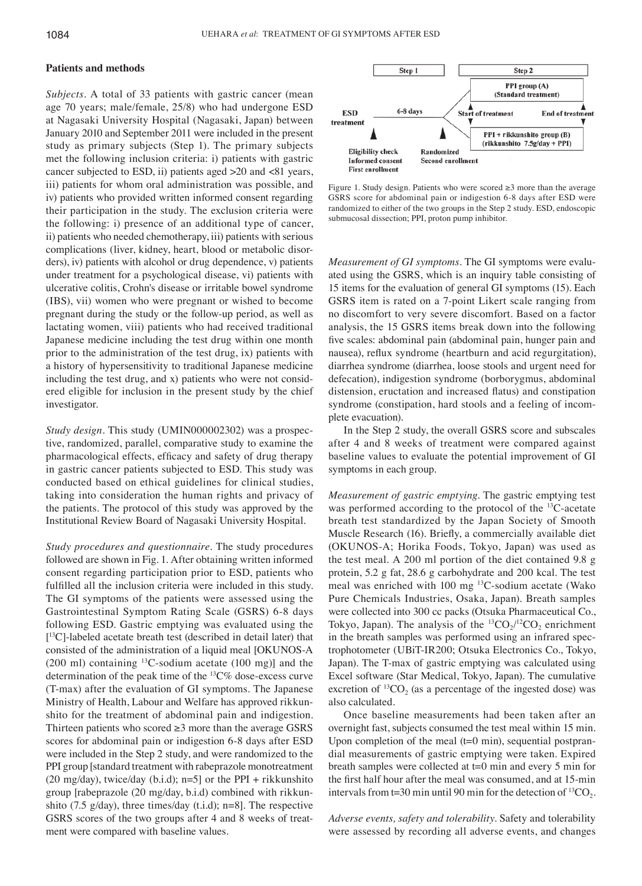## **Patients and methods**

*Subjects.* A total of 33 patients with gastric cancer (mean age 70 years; male/female, 25/8) who had undergone ESD at Nagasaki University Hospital (Nagasaki, Japan) between January 2010 and September 2011 were included in the present study as primary subjects (Step 1). The primary subjects met the following inclusion criteria: i) patients with gastric cancer subjected to ESD, ii) patients aged >20 and <81 years, iii) patients for whom oral administration was possible, and iv) patients who provided written informed consent regarding their participation in the study. The exclusion criteria were the following: i) presence of an additional type of cancer, ii) patients who needed chemotherapy, iii) patients with serious complications (liver, kidney, heart, blood or metabolic disorders), iv) patients with alcohol or drug dependence, v) patients under treatment for a psychological disease, vi) patients with ulcerative colitis, Crohn's disease or irritable bowel syndrome (IBS), vii) women who were pregnant or wished to become pregnant during the study or the follow-up period, as well as lactating women, viii) patients who had received traditional Japanese medicine including the test drug within one month prior to the administration of the test drug, ix) patients with a history of hypersensitivity to traditional Japanese medicine including the test drug, and x) patients who were not considered eligible for inclusion in the present study by the chief investigator.

*Study design.* This study (UMIN000002302) was a prospective, randomized, parallel, comparative study to examine the pharmacological effects, efficacy and safety of drug therapy in gastric cancer patients subjected to ESD. This study was conducted based on ethical guidelines for clinical studies, taking into consideration the human rights and privacy of the patients. The protocol of this study was approved by the Institutional Review Board of Nagasaki University Hospital.

*Study procedures and questionnaire.* The study procedures followed are shown in Fig. 1. After obtaining written informed consent regarding participation prior to ESD, patients who fulfilled all the inclusion criteria were included in this study. The GI symptoms of the patients were assessed using the Gastrointestinal Symptom Rating Scale (GSRS) 6-8 days following ESD. Gastric emptying was evaluated using the [ 13C]-labeled acetate breath test (described in detail later) that consisted of the administration of a liquid meal [OKUNOS-A  $(200 \text{ ml})$  containing <sup>13</sup>C-sodium acetate  $(100 \text{ mg})$  and the determination of the peak time of the 13C% dose-excess curve (T-max) after the evaluation of GI symptoms. The Japanese Ministry of Health, Labour and Welfare has approved rikkunshito for the treatment of abdominal pain and indigestion. Thirteen patients who scored  $\geq 3$  more than the average GSRS scores for abdominal pain or indigestion 6-8 days after ESD were included in the Step 2 study, and were randomized to the PPI group [standard treatment with rabeprazole monotreatment (20 mg/day), twice/day (b.i.d);  $n=5$ ] or the PPI + rikkunshito group [rabeprazole (20 mg/day, b.i.d) combined with rikkunshito (7.5 g/day), three times/day (t.i.d); n=8]. The respective GSRS scores of the two groups after 4 and 8 weeks of treatment were compared with baseline values.



Figure 1. Study design. Patients who were scored ≥3 more than the average GSRS score for abdominal pain or indigestion 6-8 days after ESD were randomized to either of the two groups in the Step 2 study. ESD, endoscopic submucosal dissection; PPI, proton pump inhibitor.

*Measurement of GI symptoms.* The GI symptoms were evaluated using the GSRS, which is an inquiry table consisting of 15 items for the evaluation of general GI symptoms (15). Each GSRS item is rated on a 7-point Likert scale ranging from no discomfort to very severe discomfort. Based on a factor analysis, the 15 GSRS items break down into the following five scales: abdominal pain (abdominal pain, hunger pain and nausea), reflux syndrome (heartburn and acid regurgitation), diarrhea syndrome (diarrhea, loose stools and urgent need for defecation), indigestion syndrome (borborygmus, abdominal distension, eructation and increased flatus) and constipation syndrome (constipation, hard stools and a feeling of incomplete evacuation).

In the Step 2 study, the overall GSRS score and subscales after 4 and 8 weeks of treatment were compared against baseline values to evaluate the potential improvement of GI symptoms in each group.

*Measurement of gastric emptying.* The gastric emptying test was performed according to the protocol of the 13C-acetate breath test standardized by the Japan Society of Smooth Muscle Research (16). Briefly, a commercially available diet (OKUNOS-A; Horika Foods, Tokyo, Japan) was used as the test meal. A 200 ml portion of the diet contained 9.8 g protein, 5.2 g fat, 28.6 g carbohydrate and 200 kcal. The test meal was enriched with 100 mg 13C-sodium acetate (Wako Pure Chemicals Industries, Osaka, Japan). Breath samples were collected into 300 cc packs (Otsuka Pharmaceutical Co., Tokyo, Japan). The analysis of the  ${}^{13}CO_2/{}^{12}CO_2$  enrichment in the breath samples was performed using an infrared spectrophotometer (UBiT-IR200; Otsuka Electronics Co., Tokyo, Japan). The T-max of gastric emptying was calculated using Excel software (Star Medical, Tokyo, Japan). The cumulative excretion of  ${}^{13}CO_2$  (as a percentage of the ingested dose) was also calculated.

Once baseline measurements had been taken after an overnight fast, subjects consumed the test meal within 15 min. Upon completion of the meal  $(t=0 \text{ min})$ , sequential postprandial measurements of gastric emptying were taken. Expired breath samples were collected at t=0 min and every 5 min for the first half hour after the meal was consumed, and at 15-min intervals from t=30 min until 90 min for the detection of  ${}^{13}CO_2$ .

*Adverse events, safety and tolerability.* Safety and tolerability were assessed by recording all adverse events, and changes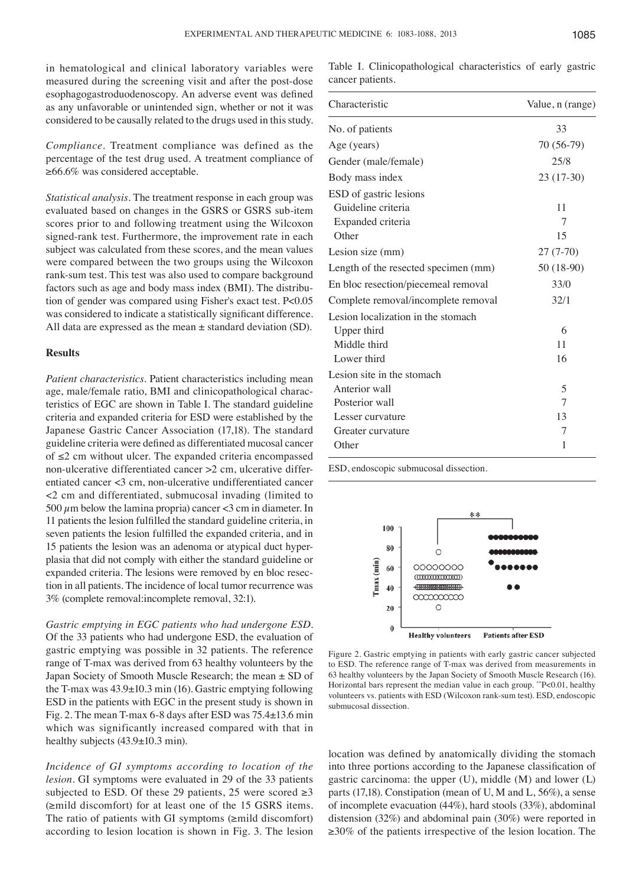in hematological and clinical laboratory variables were measured during the screening visit and after the post-dose esophagogastroduodenoscopy. An adverse event was defined as any unfavorable or unintended sign, whether or not it was considered to be causally related to the drugs used in this study.

*Compliance.* Treatment compliance was defined as the percentage of the test drug used. A treatment compliance of ≥66.6% was considered acceptable.

*Statistical analysis.* The treatment response in each group was evaluated based on changes in the GSRS or GSRS sub-item scores prior to and following treatment using the Wilcoxon signed-rank test. Furthermore, the improvement rate in each subject was calculated from these scores, and the mean values were compared between the two groups using the Wilcoxon rank-sum test. This test was also used to compare background factors such as age and body mass index (BMI). The distribution of gender was compared using Fisher's exact test. P<0.05 was considered to indicate a statistically significant difference. All data are expressed as the mean  $\pm$  standard deviation (SD).

## **Results**

*Patient characteristics.* Patient characteristics including mean age, male/female ratio, BMI and clinicopathological characteristics of EGC are shown in Table I. The standard guideline criteria and expanded criteria for ESD were established by the Japanese Gastric Cancer Association (17,18). The standard guideline criteria were defined as differentiated mucosal cancer of ≤2 cm without ulcer. The expanded criteria encompassed non-ulcerative differentiated cancer >2 cm, ulcerative differentiated cancer <3 cm, non-ulcerative undifferentiated cancer <2 cm and differentiated, submucosal invading (limited to 500  $\mu$ m below the lamina propria) cancer <3 cm in diameter. In 11 patients the lesion fulfilled the standard guideline criteria, in seven patients the lesion fulfilled the expanded criteria, and in 15 patients the lesion was an adenoma or atypical duct hyperplasia that did not comply with either the standard guideline or expanded criteria. The lesions were removed by en bloc resection in all patients. The incidence of local tumor recurrence was 3% (complete removal:incomplete removal, 32:1).

*Gastric emptying in EGC patients who had undergone ESD.*  Of the 33 patients who had undergone ESD, the evaluation of gastric emptying was possible in 32 patients. The reference range of T-max was derived from 63 healthy volunteers by the Japan Society of Smooth Muscle Research; the mean ± SD of the T-max was  $43.9\pm10.3$  min (16). Gastric emptying following ESD in the patients with EGC in the present study is shown in Fig. 2. The mean T-max 6-8 days after ESD was 75.4±13.6 min which was significantly increased compared with that in healthy subjects (43.9±10.3 min).

*Incidence of GI symptoms according to location of the lesion.* GI symptoms were evaluated in 29 of the 33 patients subjected to ESD. Of these 29 patients, 25 were scored  $\geq 3$ (≥mild discomfort) for at least one of the 15 GSRS items. The ratio of patients with GI symptoms (≥mild discomfort) according to lesion location is shown in Fig. 3. The lesion Table I. Clinicopathological characteristics of early gastric cancer patients.

| Characteristic                       | Value, n (range) |  |
|--------------------------------------|------------------|--|
| No. of patients                      | 33               |  |
| Age (years)                          | 70 (56-79)       |  |
| Gender (male/female)                 | 25/8             |  |
| Body mass index                      | 23 (17-30)       |  |
| ESD of gastric lesions               |                  |  |
| Guideline criteria                   | 11               |  |
| Expanded criteria                    | 7                |  |
| Other                                | 15               |  |
| Lesion size (mm)                     | $27(7-70)$       |  |
| Length of the resected specimen (mm) | 50 (18-90)       |  |
| En bloc resection/piecemeal removal  | 33/0             |  |
| Complete removal/incomplete removal  | 32/1             |  |
| Lesion localization in the stomach   |                  |  |
| Upper third                          | 6                |  |
| Middle third                         | 11               |  |
| Lower third                          | 16               |  |
| Lesion site in the stomach           |                  |  |
| Anterior wall                        | 5                |  |
| Posterior wall                       | 7                |  |
| Lesser curvature                     | 13               |  |
| Greater curvature                    | 7                |  |
| Other                                | 1                |  |

ESD, endoscopic submucosal dissection.



Figure 2. Gastric emptying in patients with early gastric cancer subjected to ESD. The reference range of T-max was derived from measurements in 63 healthy volunteers by the Japan Society of Smooth Muscle Research (16). Horizontal bars represent the median value in each group. \*\*P<0.01, healthy volunteers vs. patients with ESD (Wilcoxon rank-sum test). ESD, endoscopic submucosal dissection.

location was defined by anatomically dividing the stomach into three portions according to the Japanese classification of gastric carcinoma: the upper (U), middle (M) and lower (L) parts (17,18). Constipation (mean of U, M and L, 56%), a sense of incomplete evacuation (44%), hard stools (33%), abdominal distension (32%) and abdominal pain (30%) were reported in ≥30% of the patients irrespective of the lesion location. The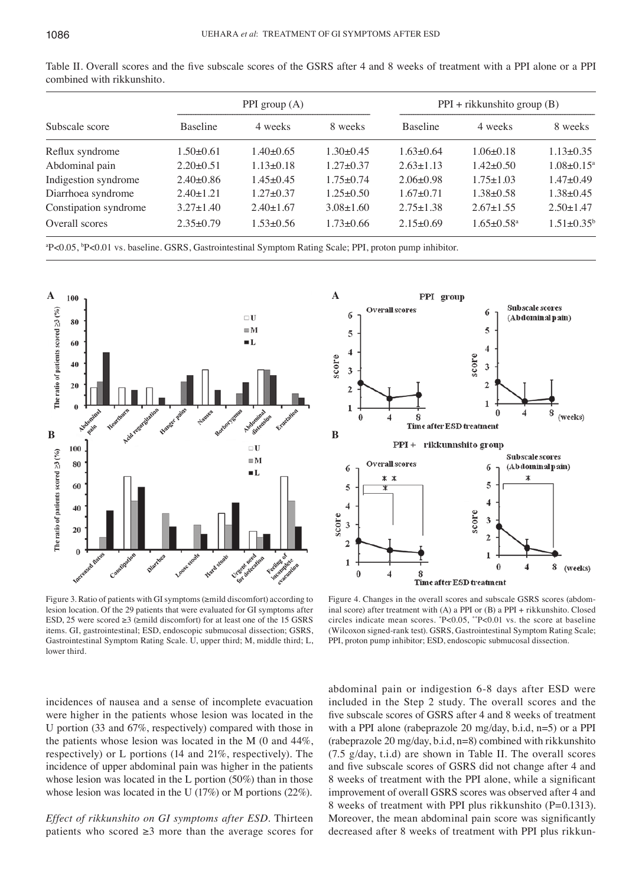| Subscale score        | PPI group $(A)$ |                 |                 | $PPI + r$ ikkunshito group (B) |                              |                   |
|-----------------------|-----------------|-----------------|-----------------|--------------------------------|------------------------------|-------------------|
|                       | <b>Baseline</b> | 4 weeks         | 8 weeks         | <b>Baseline</b>                | 4 weeks                      | 8 weeks           |
| Reflux syndrome       | $1.50\pm0.61$   | $1.40\pm0.65$   | $1.30 \pm 0.45$ | $1.63 \pm 0.64$                | $1.06\pm0.18$                | $1.13 \pm 0.35$   |
| Abdominal pain        | $2.20 \pm 0.51$ | $1.13 \pm 0.18$ | $1.27 \pm 0.37$ | $2.63 \pm 1.13$                | $1.42 \pm 0.50$              | $1.08 \pm 0.15^a$ |
| Indigestion syndrome  | $2.40\pm0.86$   | $1.45 \pm 0.45$ | $1.75 \pm 0.74$ | $2.06 \pm 0.98$                | $1.75 \pm 1.03$              | $1.47 \pm 0.49$   |
| Diarrhoea syndrome    | $2.40 \pm 1.21$ | $1.27 \pm 0.37$ | $1.25 \pm 0.50$ | $1.67 \pm 0.71$                | $1.38 \pm 0.58$              | $1.38 \pm 0.45$   |
| Constipation syndrome | $3.27 \pm 1.40$ | $2.40 \pm 1.67$ | $3.08 \pm 1.60$ | $2.75 \pm 1.38$                | $2.67 \pm 1.55$              | $2.50 \pm 1.47$   |
| Overall scores        | $2.35 \pm 0.79$ | $1.53 \pm 0.56$ | $1.73 \pm 0.66$ | $2.15 \pm 0.69$                | $1.65 \pm 0.58$ <sup>a</sup> | $1.51 \pm 0.35^b$ |

Table II. Overall scores and the five subscale scores of the GSRS after 4 and 8 weeks of treatment with a PPI alone or a PPI combined with rikkunshito.

a P<0.05, b P<0.01 vs. baseline. GSRS, Gastrointestinal Symptom Rating Scale; PPI, proton pump inhibitor.



score  **B**score

Figure 3. Ratio of patients with GI symptoms (≥mild discomfort) according to lesion location. Of the 29 patients that were evaluated for GI symptoms after ESD, 25 were scored  $\geq 3$  ( $\geq$ mild discomfort) for at least one of the 15 GSRS items. GI, gastrointestinal; ESD, endoscopic submucosal dissection; GSRS, Gastrointestinal Symptom Rating Scale. U, upper third; M, middle third; L, lower third.



Figure 4. Changes in the overall scores and subscale GSRS scores (abdominal score) after treatment with (A) a PPI or (B) a PPI + rikkunshito. Closed circles indicate mean scores. \* P<0.05, \*\*P<0.01 vs. the score at baseline (Wilcoxon signed-rank test). GSRS, Gastrointestinal Symptom Rating Scale; PPI, proton pump inhibitor; ESD, endoscopic submucosal dissection.

incidences of nausea and a sense of incomplete evacuation were higher in the patients whose lesion was located in the U portion (33 and 67%, respectively) compared with those in the patients whose lesion was located in the M (0 and 44%, respectively) or L portions (14 and 21%, respectively). The incidence of upper abdominal pain was higher in the patients whose lesion was located in the L portion (50%) than in those whose lesion was located in the U (17%) or M portions (22%).

*Effect of rikkunshito on GI symptoms after ESD.* Thirteen patients who scored  $\geq 3$  more than the average scores for abdominal pain or indigestion 6-8 days after ESD were included in the Step 2 study. The overall scores and the five subscale scores of GSRS after 4 and 8 weeks of treatment with a PPI alone (rabeprazole 20 mg/day, b.i.d, n=5) or a PPI (rabeprazole 20 mg/day, b.i.d, n=8) combined with rikkunshito (7.5 g/day, t.i.d) are shown in Table II. The overall scores and five subscale scores of GSRS did not change after 4 and 8 weeks of treatment with the PPI alone, while a significant improvement of overall GSRS scores was observed after 4 and 8 weeks of treatment with PPI plus rikkunshito (P=0.1313). Moreover, the mean abdominal pain score was significantly decreased after 8 weeks of treatment with PPI plus rikkun-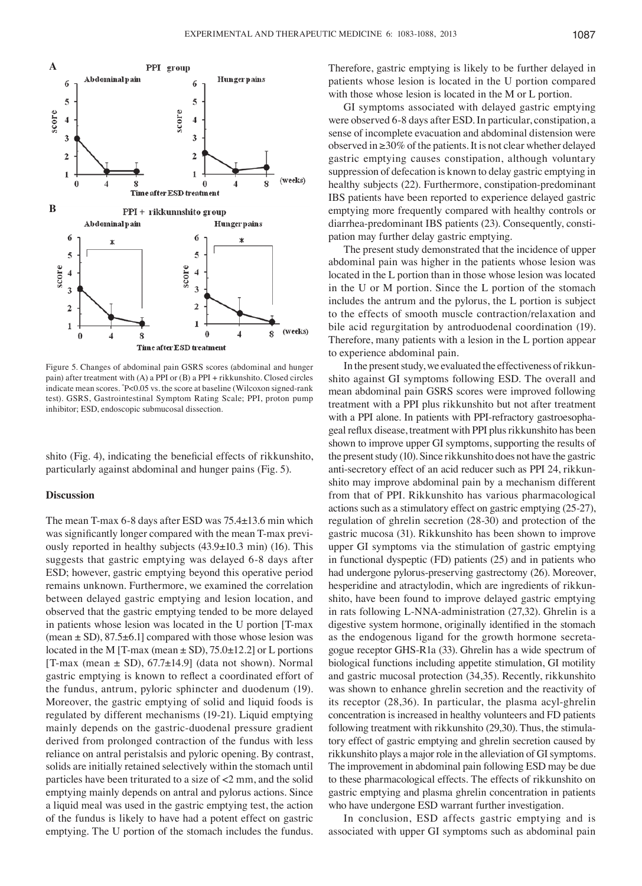

Figure 5. Changes of abdominal pain GSRS scores (abdominal and hunger pain) after treatment with (A) a PPI or (B) a PPI + rikkunshito. Closed circles indicate mean scores. \* P<0.05 vs. the score at baseline (Wilcoxon signed-rank test). GSRS, Gastrointestinal Symptom Rating Scale; PPI, proton pump inhibitor; ESD, endoscopic submucosal dissection.

shito (Fig. 4), indicating the beneficial effects of rikkunshito, particularly against abdominal and hunger pains (Fig. 5).

#### **Discussion**

The mean T-max 6-8 days after ESD was 75.4±13.6 min which was significantly longer compared with the mean T-max previously reported in healthy subjects (43.9±10.3 min) (16). This suggests that gastric emptying was delayed 6-8 days after ESD; however, gastric emptying beyond this operative period remains unknown. Furthermore, we examined the correlation between delayed gastric emptying and lesion location, and observed that the gastric emptying tended to be more delayed in patients whose lesion was located in the U portion [T-max (mean  $\pm$  SD), 87.5 $\pm$ 6.1] compared with those whose lesion was located in the M [T-max (mean  $\pm$  SD), 75.0 $\pm$ 12.2] or L portions [T-max (mean  $\pm$  SD), 67.7 $\pm$ 14.9] (data not shown). Normal gastric emptying is known to reflect a coordinated effort of the fundus, antrum, pyloric sphincter and duodenum (19). Moreover, the gastric emptying of solid and liquid foods is regulated by different mechanisms (19-21). Liquid emptying mainly depends on the gastric-duodenal pressure gradient derived from prolonged contraction of the fundus with less reliance on antral peristalsis and pyloric opening. By contrast, solids are initially retained selectively within the stomach until particles have been triturated to a size of <2 mm, and the solid emptying mainly depends on antral and pylorus actions. Since a liquid meal was used in the gastric emptying test, the action of the fundus is likely to have had a potent effect on gastric emptying. The U portion of the stomach includes the fundus. Therefore, gastric emptying is likely to be further delayed in patients whose lesion is located in the U portion compared with those whose lesion is located in the M or L portion.

GI symptoms associated with delayed gastric emptying were observed 6-8 days after ESD. In particular, constipation, a sense of incomplete evacuation and abdominal distension were observed in ≥30% of the patients. It is not clear whether delayed gastric emptying causes constipation, although voluntary suppression of defecation is known to delay gastric emptying in healthy subjects (22). Furthermore, constipation-predominant IBS patients have been reported to experience delayed gastric emptying more frequently compared with healthy controls or diarrhea-predominant IBS patients (23). Consequently, constipation may further delay gastric emptying.

The present study demonstrated that the incidence of upper abdominal pain was higher in the patients whose lesion was located in the L portion than in those whose lesion was located in the U or M portion. Since the L portion of the stomach includes the antrum and the pylorus, the L portion is subject to the effects of smooth muscle contraction/relaxation and bile acid regurgitation by antroduodenal coordination (19). Therefore, many patients with a lesion in the L portion appear to experience abdominal pain.

In the present study, we evaluated the effectiveness of rikkunshito against GI symptoms following ESD. The overall and mean abdominal pain GSRS scores were improved following treatment with a PPI plus rikkunshito but not after treatment with a PPI alone. In patients with PPI-refractory gastroesophageal reflux disease, treatment with PPI plus rikkunshito has been shown to improve upper GI symptoms, supporting the results of the present study (10). Since rikkunshito does not have the gastric anti-secretory effect of an acid reducer such as PPI 24, rikkunshito may improve abdominal pain by a mechanism different from that of PPI. Rikkunshito has various pharmacological actions such as a stimulatory effect on gastric emptying (25-27), regulation of ghrelin secretion (28-30) and protection of the gastric mucosa (31). Rikkunshito has been shown to improve upper GI symptoms via the stimulation of gastric emptying in functional dyspeptic (FD) patients (25) and in patients who had undergone pylorus-preserving gastrectomy (26). Moreover, hesperidine and atractylodin, which are ingredients of rikkunshito, have been found to improve delayed gastric emptying in rats following L-NNA-administration (27,32). Ghrelin is a digestive system hormone, originally identified in the stomach as the endogenous ligand for the growth hormone secretagogue receptor GHS-R1a (33). Ghrelin has a wide spectrum of biological functions including appetite stimulation, GI motility and gastric mucosal protection (34,35). Recently, rikkunshito was shown to enhance ghrelin secretion and the reactivity of its receptor (28,36). In particular, the plasma acyl-ghrelin concentration is increased in healthy volunteers and FD patients following treatment with rikkunshito (29,30). Thus, the stimulatory effect of gastric emptying and ghrelin secretion caused by rikkunshito plays a major role in the alleviation of GI symptoms. The improvement in abdominal pain following ESD may be due to these pharmacological effects. The effects of rikkunshito on gastric emptying and plasma ghrelin concentration in patients who have undergone ESD warrant further investigation.

In conclusion, ESD affects gastric emptying and is associated with upper GI symptoms such as abdominal pain